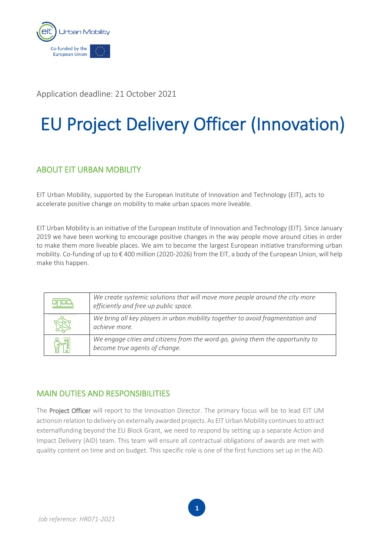

Application deadline: 21 October 2021

# EU Project Delivery Officer (Innovation)

## ABOUT EIT URBAN MOBILITY

EIT Urban Mobility, supported by the European Institute of Innovation and Technology (EIT), acts to accelerate positive change on mobility to make urban spaces more liveable.

EIT Urban Mobility is an initiative of the European Institute of Innovation and Technology (EIT). Since January 2019 we have been working to encourage positive changes in the way people move around cities in order to make them more liveable places. We aim to become the largest European initiative transforming urban mobility. Co-funding of up to € 400 million (2020-2026) from the EIT, a body of the European Union, will help make this happen.

| We create systemic solutions that will move more people around the city more<br>efficiently and free up public space. |
|-----------------------------------------------------------------------------------------------------------------------|
| We bring all key players in urban mobility together to avoid fragmentation and<br>achieve more.                       |
| We engage cities and citizens from the word go, giving them the opportunity to<br>become true agents of change.       |

## MAIN DUTIES AND RESPONSIBILITIES

The Project Officer will report to the Innovation Director. The primary focus will be to lead EIT UM actionsin relation to delivery on externally awarded projects. As EIT Urban Mobility continuesto attract externalfunding beyond the EU Block Grant, we need to respond by setting up a separate Action and Impact Delivery (AID) team. This team will ensure all contractual obligations of awards are met with quality content on time and on budget. This specific role is one of the first functions set up in the AID.

**1**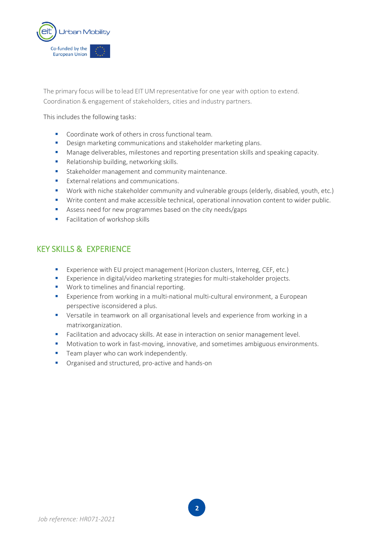

The primary focus will be to lead EIT UM representative for one year with option to extend. Coordination & engagement of stakeholders, cities and industry partners.

This includes the following tasks:

- Coordinate work of others in cross functional team.
- **■** Design marketing communications and stakeholder marketing plans.
- Manage deliverables, milestones and reporting presentation skills and speaking capacity.
- Relationship building, networking skills.
- Stakeholder management and community maintenance.
- External relations and communications.
- Work with niche stakeholder community and vulnerable groups (elderly, disabled, youth, etc.)
- Write content and make accessible technical, operational innovation content to wider public.
- Assess need for new programmes based on the city needs/gaps
- **Facilitation of workshop skills**

### KEY SKILLS & EXPERIENCE

- Experience with EU project management (Horizon clusters, Interreg, CEF, etc.)
- Experience in digital/video marketing strategies for multi-stakeholder projects.
- Work to timelines and financial reporting.
- Experience from working in a multi-national multi-cultural environment, a European perspective isconsidered a plus.
- Versatile in teamwork on all organisational levels and experience from working in a matrixorganization.
- Facilitation and advocacy skills. At ease in interaction on senior management level.
- Motivation to work in fast-moving, innovative, and sometimes ambiguous environments.

**2**

- **EXEC** Team player who can work independently.
- Organised and structured, pro-active and hands-on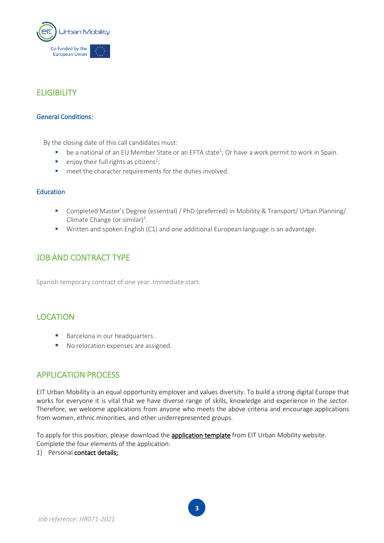

## **ELIGIBILITY**

#### General Conditions:

By the closing date of this call candidates must:

- $\blacksquare$  be a national of an EU Member State or an EFTA state<sup>1</sup>; Or have a work permit to work in Spain.
- **•** enjoy their full rights as citizens<sup>2</sup>;
- meet the character requirements for the duties involved.

#### Education

- Completed Master's Degree (essential) / PhD (preferred) in Mobility & Transport/ Urban Planning/ Climate Change (or similar)<sup>3</sup>.
- Written and spoken English (C1) and one additional European language is an advantage.

### JOB AND CONTRACT TYPE

Spanish temporary contract of one year. Immediate start.

#### LOCATION

- Barcelona in our headquarters.
- No relocation expenses are assigned.

#### APPLICATION PROCESS

EIT Urban Mobility is an equal opportunity employer and values diversity. To build a strong digital Europe that works for everyone it is vital that we have diverse range of skills, knowledge and experience in the sector. Therefore, we welcome applications from anyone who meets the above criteria and encourage applications from women, ethnic minorities, and other underrepresented groups.

To apply for this position, please download the **application template** from EIT Urban Mobility website. Complete the four elements of the application:

1) Personal contact details;